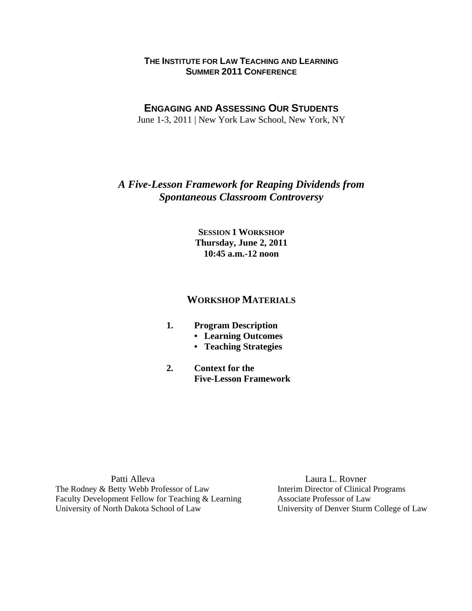### **THE INSTITUTE FOR LAW TEACHING AND LEARNING SUMMER 2011 CONFERENCE**

## **ENGAGING AND ASSESSING OUR STUDENTS**

June 1-3, 2011 | New York Law School, New York, NY

## *A Five-Lesson Framework for Reaping Dividends from Spontaneous Classroom Controversy*

**SESSION 1 WORKSHOP Thursday, June 2, 2011 10:45 a.m.-12 noon** 

## **WORKSHOP MATERIALS**

- **1. Program Description** 
	- **Learning Outcomes**
	- **Teaching Strategies**
- **2. Context for the Five-Lesson Framework**

Patti Alleva Laura L. Rovner The Rodney & Betty Webb Professor of Law Interim Director of Clinical Programs Faculty Development Fellow for Teaching & Learning Associate Professor of Law University of North Dakota School of Law University of Denver Sturm College of Law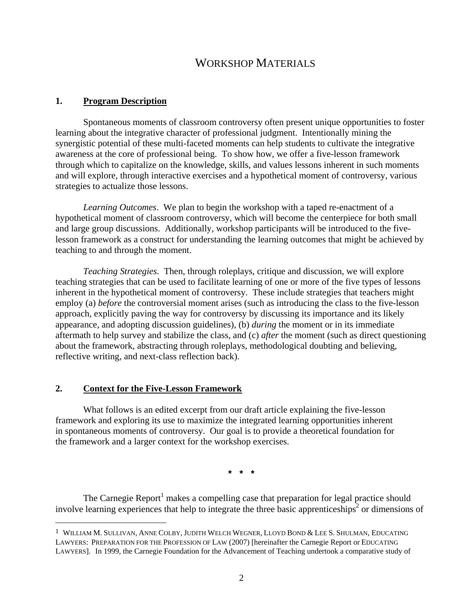# WORKSHOP MATERIALS

#### **1. Program Description**

Spontaneous moments of classroom controversy often present unique opportunities to foster learning about the integrative character of professional judgment. Intentionally mining the synergistic potential of these multi-faceted moments can help students to cultivate the integrative awareness at the core of professional being. To show how, we offer a five-lesson framework through which to capitalize on the knowledge, skills, and values lessons inherent in such moments and will explore, through interactive exercises and a hypothetical moment of controversy, various strategies to actualize those lessons.

*Learning Outcomes*. We plan to begin the workshop with a taped re-enactment of a hypothetical moment of classroom controversy, which will become the centerpiece for both small and large group discussions. Additionally, workshop participants will be introduced to the fivelesson framework as a construct for understanding the learning outcomes that might be achieved by teaching to and through the moment.

*Teaching Strategies.* Then, through roleplays, critique and discussion, we will explore teaching strategies that can be used to facilitate learning of one or more of the five types of lessons inherent in the hypothetical moment of controversy. These include strategies that teachers might employ (a) *before* the controversial moment arises (such as introducing the class to the five-lesson approach, explicitly paving the way for controversy by discussing its importance and its likely appearance, and adopting discussion guidelines), (b) *during* the moment or in its immediate aftermath to help survey and stabilize the class, and (c) *after* the moment (such as direct questioning about the framework, abstracting through roleplays, methodological doubting and believing, reflective writing, and next-class reflection back).

#### **2. Context for the Five-Lesson Framework**

What follows is an edited excerpt from our draft article explaining the five-lesson framework and exploring its use to maximize the integrated learning opportunities inherent in spontaneous moments of controversy. Our goal is to provide a theoretical foundation for the framework and a larger context for the workshop exercises.

**\* \* \*** 

The Carnegie Report<sup>1</sup> makes a compelling case that preparation for legal practice should involve learning experiences that help to integrate the three basic apprenticeships<sup>2</sup> or dimensions of

<sup>1</sup> WILLIAM M. SULLIVAN, ANNE COLBY, JUDITH WELCH WEGNER, LLOYD BOND & LEE S. SHULMAN, EDUCATING LAWYERS: PREPARATION FOR THE PROFESSION OF LAW (2007) [hereinafter the Carnegie Report or EDUCATING LAWYERS]. In 1999, the Carnegie Foundation for the Advancement of Teaching undertook a comparative study of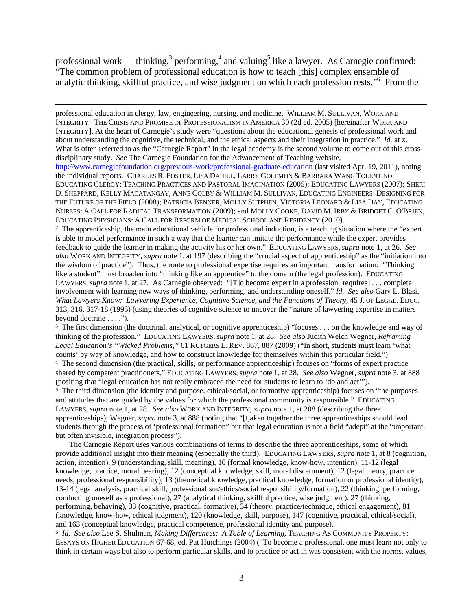professional work — thinking,<sup>3</sup> performing,<sup>4</sup> and valuing<sup>5</sup> like a lawyer. As Carnegie confirmed: "The common problem of professional education is how to teach [this] complex ensemble of analytic thinking, skillful practice, and wise judgment on which each profession rests."<sup>6</sup> From the

<u> 2002 - Andrea San Andrea San Andrea San Andrea San Andrea San Andrea San Andrea San Andrea San Andrea San An</u>

professional education in clergy, law, engineering, nursing, and medicine. WILLIAM M. SULLIVAN, WORK AND INTEGRITY: THE CRISIS AND PROMISE OF PROFESSIONALISM IN AMERICA 30 (2d ed. 2005) [hereinafter WORK AND INTEGRITY]. At the heart of Carnegie's study were "questions about the educational genesis of professional work and about understanding the cognitive, the technical, and the ethical aspects and their integration in practice." *Id.* at x. What is often referred to as the "Carnegie Report" in the legal academy is the second volume to come out of this crossdisciplinary study. *See* The Carnegie Foundation for the Advancement of Teaching website, http://www.carnegiefoundation.org/previous-work/professional-graduate-education (last visited Apr. 19, 2011), noting the individual reports. CHARLES R. FOSTER, LISA DAHILL, LARRY GOLEMON & BARBARA WANG TOLENTINO, EDUCATING CLERGY: TEACHING PRACTICES AND PASTORAL IMAGINATION (2005); EDUCATING LAWYERS (2007); SHERI D. SHEPPARD, KELLY MACATANGAY, ANNE COLBY & WILLIAM M. SULLIVAN, EDUCATING ENGINEERS: DESIGNING FOR THE FUTURE OF THE FIELD (2008); PATRICIA BENNER, MOLLY SUTPHEN, VICTORIA LEONARD & LISA DAY, EDUCATING NURSES: A CALL FOR RADICAL TRANSFORMATION (2009); and MOLLY COOKE, DAVID M. IRBY & BRIDGET C. O'BRIEN, EDUCATING PHYSICIANS: A CALL FOR REFORM OF MEDICAL SCHOOL AND RESIDENCY (2010).

2 The apprenticeship, the main educational vehicle for professional induction, is a teaching situation where the "expert is able to model performance in such a way that the learner can imitate the performance while the expert provides feedback to guide the learner in making the activity his or her own." EDUCATING LAWYERS, *supra* note 1, at 26. *See also* WORK AND INTEGRITY, *supra* note 1, at 197 (describing the "crucial aspect of apprenticeship" as the "initiation into the wisdom of practice"). Thus, the route to professional expertise requires an important transformation: "Thinking like a student" must broaden into "thinking like an apprentice" to the domain (the legal profession). EDUCATING LAWYERS, *supra* note 1, at 27. As Carnegie observed: "[T]o become expert in a profession [requires] . . . complete involvement with learning new ways of thinking, performing, and understanding oneself." *Id*. *See also* Gary L. Blasi, *What Lawyers Know: Lawyering Experience, Cognitive Science, and the Functions of Theory,* 45 J. OF LEGAL. EDUC. 313, 316, 317-18 (1995) (using theories of cognitive science to uncover the "nature of lawyering expertise in matters beyond doctrine . . . .").

3 The first dimension (the doctrinal, analytical, or cognitive apprenticeship) "focuses . . . on the knowledge and way of thinking of the profession." EDUCATING LAWYERS, *supra* note 1, at 28. *See also* Judith Welch Wegner, *Reframing Legal Education's "Wicked Problems,"* 61 RUTGERS L. REV. 867, 887 (2009) ("In short, students must learn 'what counts' by way of knowledge, and how to construct knowledge for themselves within this particular field.") 4 The second dimension (the practical, skills, or performance apprenticeship) focuses on "forms of expert practice shared by competent practitioners." EDUCATING LAWYERS, *supra* note 1, at 28. *See also* Wegner, *supra* note 3, at 888 (positing that "legal education has not really embraced the need for students to learn to 'do and act'"). 5 The third dimension (the identity and purpose, ethical/social, or formative apprenticeship) focuses on "the purposes and attitudes that are guided by the values for which the professional community is responsible." EDUCATING LAWYERS, *supra* note 1, at 28. *See also* WORK AND INTEGRITY, *supra* note 1, at 208 (describing the three apprenticeships); Wegner, *supra* note 3, at 888 (noting that "[t]aken together the three apprenticeships should lead students through the process of 'professional formation" but that legal education is not a field "adept" at the "important, but often invisible, integration process").

The Carnegie Report uses various combinations of terms to describe the three apprenticeships, some of which provide additional insight into their meaning (especially the third). EDUCATING LAWYERS, *supra* note 1, at 8 (cognition, action, intention), 9 (understanding, skill, meaning), 10 (formal knowledge, know-how, intention), 11-12 (legal knowledge, practice, moral bearing), 12 (conceptual knowledge, skill, moral discernment), 12 (legal theory, practice needs, professional responsibility), 13 (theoretical knowledge, practical knowledge, formation or professional identity), 13-14 (legal analysis, practical skill, professionalism/ethics/social responsibility/formation), 22 (thinking, performing, conducting oneself as a professional), 27 (analytical thinking, skillful practice, wise judgment), 27 (thinking, performing, behaving), 33 (cognitive, practical, formative), 34 (theory, practice/technique, ethical engagement), 81 (knowledge, know-how, ethical judgment), 120 (knowledge, skill, purpose), 147 (cognitive, practical, ethical/social), and 163 (conceptual knowledge, practical competence, professional identity and purpose).

<sup>6</sup> *Id*. *See also* Lee S. Shulman, *Making Differences: A Table of Learning*, TEACHING AS COMMUNITY PROPERTY: ESSAYS ON HIGHER EDUCATION 67-68, ed. Pat Hutchings (2004) ("To become a professional, one must learn not only to think in certain ways but also to perform particular skills, and to practice or act in was consistent with the norms, values,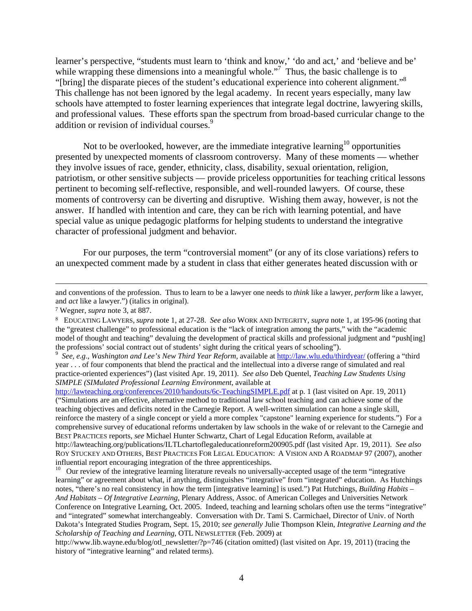learner's perspective, "students must learn to 'think and know,' 'do and act,' and 'believe and be' while wrapping these dimensions into a meaningful whole."<sup>7</sup> Thus, the basic challenge is to "[bring] the disparate pieces of the student's educational experience into coherent alignment."8 This challenge has not been ignored by the legal academy. In recent years especially, many law schools have attempted to foster learning experiences that integrate legal doctrine, lawyering skills, and professional values. These efforts span the spectrum from broad-based curricular change to the addition or revision of individual courses.<sup>9</sup>

Not to be overlooked, however, are the immediate integrative learning<sup>10</sup> opportunities presented by unexpected moments of classroom controversy. Many of these moments — whether they involve issues of race, gender, ethnicity, class, disability, sexual orientation, religion, patriotism, or other sensitive subjects — provide priceless opportunities for teaching critical lessons pertinent to becoming self-reflective, responsible, and well-rounded lawyers. Of course, these moments of controversy can be diverting and disruptive. Wishing them away, however, is not the answer. If handled with intention and care, they can be rich with learning potential, and have special value as unique pedagogic platforms for helping students to understand the integrative character of professional judgment and behavior.

For our purposes, the term "controversial moment" (or any of its close variations) refers to an unexpected comment made by a student in class that either generates heated discussion with or

 *See, e.g*., *Washington and Lee's New Third Year Reform,* available at http://law.wlu.edu/thirdyear/ (offering a "third year . . . of four components that blend the practical and the intellectual into a diverse range of simulated and real practice-oriented experiences") (last visited Apr. 19, 2011). *See also* Deb Quentel, *Teaching Law Students Using SIMPLE (SIMulated Professional Learning Environment*, available at

http://lawteaching.org/conferences/2010/handouts/6c-TeachingSIMPLE.pdf at p. 1 (last visited on Apr. 19, 2011) ("Simulations are an effective, alternative method to traditional law school teaching and can achieve some of the teaching objectives and deficits noted in the Carnegie Report. A well-written simulation can hone a single skill, reinforce the mastery of a single concept or yield a more complex "capstone" learning experience for students.") For a comprehensive survey of educational reforms undertaken by law schools in the wake of or relevant to the Carnegie and BEST PRACTICES reports, *see* Michael Hunter Schwartz, Chart of Legal Education Reform, available at http://lawteaching.org/publications/ILTLchartoflegaleducationreform200905.pdf (last visited Apr. 19, 2011). *See also* ROY STUCKEY AND OTHERS, BEST PRACTICES FOR LEGAL EDUCATION: A VISION AND A ROADMAP 97 (2007), another influential report encouraging integration of the three apprenticeships.

<sup>10</sup> Our review of the integrative learning literature reveals no universally-accepted usage of the term "integrative learning" or agreement about what, if anything, distinguishes "integrative" from "integrated" education. As Hutchings notes, "there's no real consistency in how the term [integrative learning] is used.") Pat Hutchings, *Building Habits – And Habitats – Of Integrative Learning*, Plenary Address, Assoc. of American Colleges and Universities Network Conference on Integrative Learning, Oct. 2005. Indeed, teaching and learning scholars often use the terms "integrative" and "integrated" somewhat interchangeably. Conversation with Dr. Tami S. Carmichael, Director of Univ. of North Dakota's Integrated Studies Program, Sept. 15, 2010; *see generally* Julie Thompson Klein, *Integrative Learning and the Scholarship of Teaching and Learning*, OTL NEWSLETTER (Feb. 2009) at

http://www.lib.wayne.edu/blog/otl\_newsletter/?p=746 (citation omitted) (last visited on Apr. 19, 2011) (tracing the history of "integrative learning" and related terms).

<sup>&</sup>lt;u> 1989 - Andrea Santa Andrea Andrea Andrea Andrea Andrea Andrea Andrea Andrea Andrea Andrea Andrea Andrea Andr</u> and conventions of the profession. Thus to learn to be a lawyer one needs to *think* like a lawyer, *perform* like a lawyer, and *act* like a lawyer.") (italics in original).

<sup>7</sup> Wegner, *supra* note 3, at 887.

<sup>8</sup> EDUCATING LAWYERS, *supra* note 1, at 27-28. *See also* WORK AND INTEGRITY, *supra* note 1, at 195-96 (noting that the "greatest challenge" to professional education is the "lack of integration among the parts," with the "academic model of thought and teaching" devaluing the development of practical skills and professional judgment and "push[ing] the professions' social contract out of students' sight during the critical years of schooling").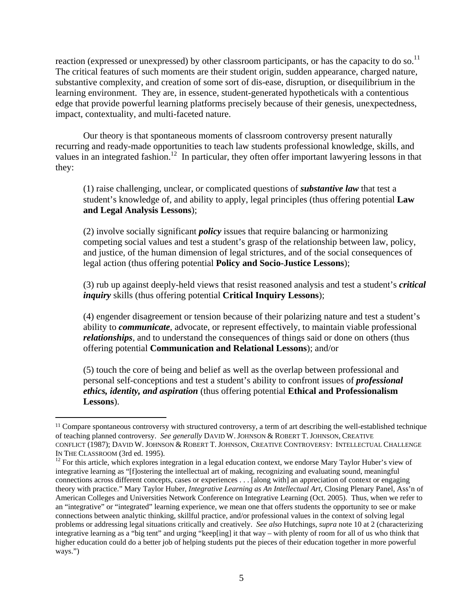reaction (expressed or unexpressed) by other classroom participants, or has the capacity to do so.<sup>11</sup> The critical features of such moments are their student origin, sudden appearance, charged nature, substantive complexity, and creation of some sort of dis-ease, disruption, or disequilibrium in the learning environment. They are, in essence, student-generated hypotheticals with a contentious edge that provide powerful learning platforms precisely because of their genesis, unexpectedness, impact, contextuality, and multi-faceted nature.

Our theory is that spontaneous moments of classroom controversy present naturally recurring and ready-made opportunities to teach law students professional knowledge, skills, and values in an integrated fashion.<sup>12</sup> In particular, they often offer important lawyering lessons in that they:

(1) raise challenging, unclear, or complicated questions of *substantive law* that test a student's knowledge of, and ability to apply, legal principles (thus offering potential **Law and Legal Analysis Lessons**);

(2) involve socially significant *policy* issues that require balancing or harmonizing competing social values and test a student's grasp of the relationship between law, policy, and justice, of the human dimension of legal strictures, and of the social consequences of legal action (thus offering potential **Policy and Socio-Justice Lessons**);

(3) rub up against deeply-held views that resist reasoned analysis and test a student's *critical inquiry* skills (thus offering potential **Critical Inquiry Lessons**);

(4) engender disagreement or tension because of their polarizing nature and test a student's ability to *communicate*, advocate, or represent effectively, to maintain viable professional *relationships*, and to understand the consequences of things said or done on others (thus offering potential **Communication and Relational Lessons**); and/or

(5) touch the core of being and belief as well as the overlap between professional and personal self-conceptions and test a student's ability to confront issues of *professional ethics, identity, and aspiration* (thus offering potential **Ethical and Professionalism Lessons**).

<sup>&</sup>lt;sup>11</sup> Compare spontaneous controversy with structured controversy, a term of art describing the well-established technique of teaching planned controversy. *See generally* DAVID W. JOHNSON & ROBERT T. JOHNSON, CREATIVE CONFLICT (1987); DAVID W. JOHNSON & ROBERT T. JOHNSON, CREATIVE CONTROVERSY: INTELLECTUAL CHALLENGE

IN THE CLASSROOM (3rd ed. 1995).<br><sup>12</sup> For this article, which explores integration in a legal education context, we endorse Mary Taylor Huber's view of integrative learning as "[f]ostering the intellectual art of making, recognizing and evaluating sound, meaningful connections across different concepts, cases or experiences . . . [along with] an appreciation of context or engaging theory with practice." Mary Taylor Huber, *Integrative Learning as An Intellectual Art*, Closing Plenary Panel, Ass'n of American Colleges and Universities Network Conference on Integrative Learning (Oct. 2005). Thus, when we refer to an "integrative" or "integrated" learning experience, we mean one that offers students the opportunity to see or make connections between analytic thinking, skillful practice, and/or professional values in the context of solving legal problems or addressing legal situations critically and creatively. *See also* Hutchings, *supra* note 10 at 2 (characterizing integrative learning as a "big tent" and urging "keep[ing] it that way – with plenty of room for all of us who think that higher education could do a better job of helping students put the pieces of their education together in more powerful ways.")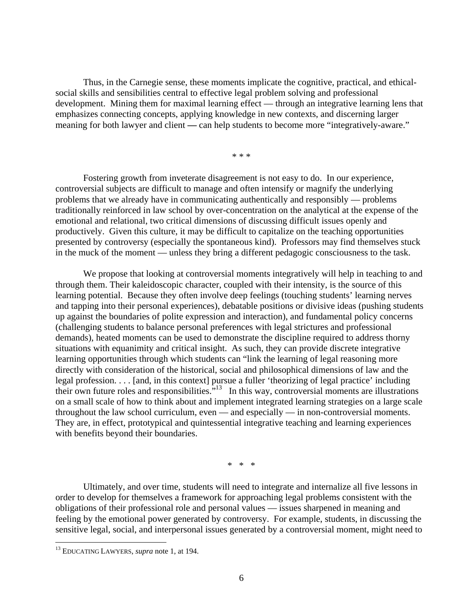Thus, in the Carnegie sense, these moments implicate the cognitive, practical, and ethicalsocial skills and sensibilities central to effective legal problem solving and professional development. Mining them for maximal learning effect — through an integrative learning lens that emphasizes connecting concepts, applying knowledge in new contexts, and discerning larger meaning for both lawyer and client — can help students to become more "integratively-aware."

\* \* \*

Fostering growth from inveterate disagreement is not easy to do. In our experience, controversial subjects are difficult to manage and often intensify or magnify the underlying problems that we already have in communicating authentically and responsibly — problems traditionally reinforced in law school by over-concentration on the analytical at the expense of the emotional and relational, two critical dimensions of discussing difficult issues openly and productively. Given this culture, it may be difficult to capitalize on the teaching opportunities presented by controversy (especially the spontaneous kind). Professors may find themselves stuck in the muck of the moment — unless they bring a different pedagogic consciousness to the task.

We propose that looking at controversial moments integratively will help in teaching to and through them. Their kaleidoscopic character, coupled with their intensity, is the source of this learning potential. Because they often involve deep feelings (touching students' learning nerves and tapping into their personal experiences), debatable positions or divisive ideas (pushing students up against the boundaries of polite expression and interaction), and fundamental policy concerns (challenging students to balance personal preferences with legal strictures and professional demands), heated moments can be used to demonstrate the discipline required to address thorny situations with equanimity and critical insight. As such, they can provide discrete integrative learning opportunities through which students can "link the learning of legal reasoning more directly with consideration of the historical, social and philosophical dimensions of law and the legal profession. . . . [and, in this context] pursue a fuller 'theorizing of legal practice' including their own future roles and responsibilities.<sup>"13</sup> In this way, controversial moments are illustrations on a small scale of how to think about and implement integrated learning strategies on a large scale throughout the law school curriculum, even — and especially — in non-controversial moments. They are, in effect, prototypical and quintessential integrative teaching and learning experiences with benefits beyond their boundaries.

\* \* \*

Ultimately, and over time, students will need to integrate and internalize all five lessons in order to develop for themselves a framework for approaching legal problems consistent with the obligations of their professional role and personal values — issues sharpened in meaning and feeling by the emotional power generated by controversy. For example, students, in discussing the sensitive legal, social, and interpersonal issues generated by a controversial moment, might need to

<sup>13</sup> EDUCATING LAWYERS, *supra* note 1, at 194.